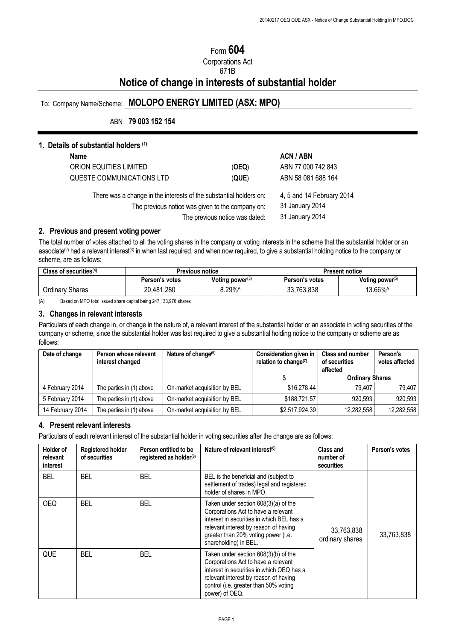# Form **604**

Corporations Act

### 671B

# **Notice of change in interests of substantial holder**

## To: Company Name/Scheme: **MOLOPO ENERGY LIMITED (ASX: MPO)**

## ABN **79 003 152 154**

## **1. Details of substantial holders (1)**

| Name                                                                                                                                                     |                                                                 | <b>ACN/ABN</b>     |
|----------------------------------------------------------------------------------------------------------------------------------------------------------|-----------------------------------------------------------------|--------------------|
| ORION EQUITIES LIMITED                                                                                                                                   | (OEQ)                                                           | ABN 77 000 742 843 |
| QUESTE COMMUNICATIONS LTD                                                                                                                                | (QUE)                                                           | ABN 58 081 688 164 |
| There was a change in the interests of the substantial holders on:<br>The previous notice was given to the company on:<br>The previous notice was dated: | 4, 5 and 14 February 2014<br>31 January 2014<br>31 January 2014 |                    |
|                                                                                                                                                          |                                                                 |                    |

## **2. Previous and present voting power**

The total number of votes attached to all the voting shares in the company or voting interests in the scheme that the substantial holder or an associate<sup>(2)</sup> had a relevant interest<sup>(3)</sup> in when last required, and when now required, to give a substantial holding notice to the company or scheme, are as follows:

| Class of securities $(4)$ | <b>Previous notice</b> |                             | <b>Present notice</b> |                     |
|---------------------------|------------------------|-----------------------------|-----------------------|---------------------|
|                           | Person's votes         | Voting power <sup>(5)</sup> | Person's votes        | Voting power $(5)$  |
| <b>Ordinary Shares</b>    | 20,481,280             | $8.29%$ <sup>A</sup>        | 33,763,838            | 13.66% <sup>A</sup> |

(A) Based on MPO total issued share capital being 247,133,976 shares

#### **3. Changes in relevant interests**

Particulars of each change in, or change in the nature of, a relevant interest of the substantial holder or an associate in voting securities of the company or scheme, since the substantial holder was last required to give a substantial holding notice to the company or scheme are as follows:

| Date of change   | Person whose relevant<br>interest changed | Nature of change <sup>(6)</sup> | Consideration given in<br>relation to change $(7)$ | <b>Class and number</b><br>of securities<br>affected | Person's<br>votes affected |
|------------------|-------------------------------------------|---------------------------------|----------------------------------------------------|------------------------------------------------------|----------------------------|
|                  |                                           |                                 |                                                    | <b>Ordinary Shares</b>                               |                            |
| 4 February 2014  | The parties in (1) above                  | On-market acquisition by BEL    | \$16.278.44                                        | 79.407                                               | 79.407                     |
| 5 February 2014  | The parties in (1) above                  | On-market acquisition by BEL    | \$188,721.57                                       | 920.593                                              | 920,593                    |
| 14 February 2014 | The parties in (1) above                  | On-market acquisition by BEL    | \$2,517,924.39                                     | 12,282,558                                           | 12,282,558                 |

### **4. Present relevant interests**

Particulars of each relevant interest of the substantial holder in voting securities after the change are as follows:

| <b>Holder of</b><br>relevant<br>interest | <b>Registered holder</b><br>of securities | Person entitled to be<br>registered as holder <sup>(8)</sup> | Nature of relevant interest <sup>(6)</sup>                                                                                                                                                                                        | Class and<br>number of<br>securities | Person's votes |
|------------------------------------------|-------------------------------------------|--------------------------------------------------------------|-----------------------------------------------------------------------------------------------------------------------------------------------------------------------------------------------------------------------------------|--------------------------------------|----------------|
| <b>BEL</b>                               | BEL                                       | <b>BEL</b>                                                   | BEL is the beneficial and (subject to<br>settlement of trades) legal and registered<br>holder of shares in MPO.                                                                                                                   |                                      |                |
| OEQ                                      | BEL                                       | BEL                                                          | Taken under section 608(3)(a) of the<br>Corporations Act to have a relevant<br>interest in securities in which BEL has a<br>relevant interest by reason of having<br>greater than 20% voting power (i.e.<br>shareholding) in BEL. | 33,763,838<br>ordinary shares        | 33,763,838     |
| QUE                                      | <b>BEL</b>                                | <b>BEL</b>                                                   | Taken under section 608(3)(b) of the<br>Corporations Act to have a relevant<br>interest in securities in which OEQ has a<br>relevant interest by reason of having<br>control (i.e. greater than 50% voting<br>power) of OEQ.      |                                      |                |